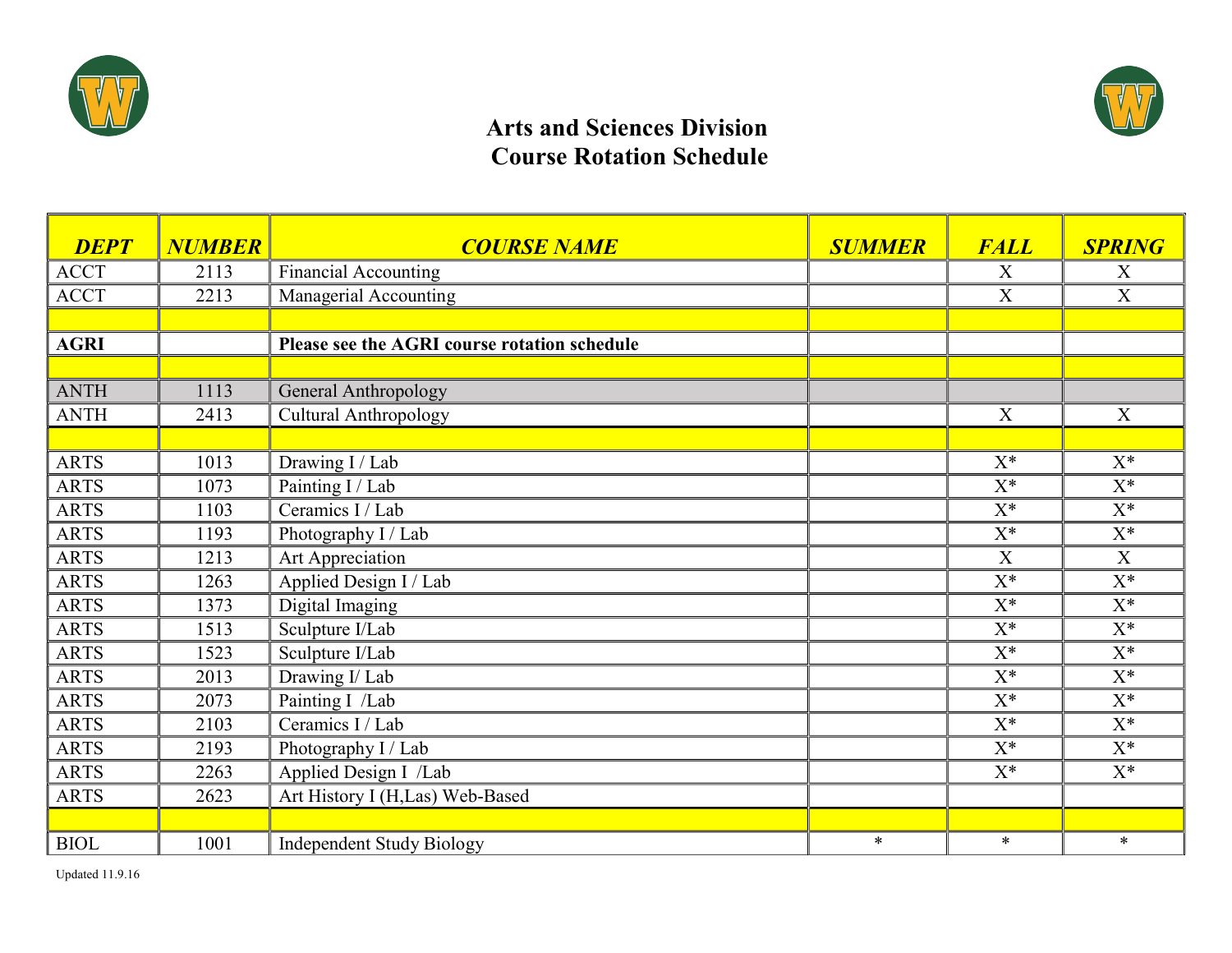



## Arts and Sciences Division Course Rotation Schedule

| <b>DEPT</b> | <b>NUMBER</b> | <b>COURSE NAME</b>                           | <b>SUMMER</b> | <b>FALL</b>      | <b>SPRING</b>  |
|-------------|---------------|----------------------------------------------|---------------|------------------|----------------|
| <b>ACCT</b> | 2113          | <b>Financial Accounting</b>                  |               | X                | X              |
| <b>ACCT</b> | 2213          | Managerial Accounting                        |               | $\boldsymbol{X}$ | X              |
|             |               |                                              |               |                  |                |
| <b>AGRI</b> |               | Please see the AGRI course rotation schedule |               |                  |                |
|             |               |                                              |               |                  |                |
| <b>ANTH</b> | 1113          | General Anthropology                         |               |                  |                |
| <b>ANTH</b> | 2413          | <b>Cultural Anthropology</b>                 |               | X                | $\mathbf X$    |
|             |               |                                              |               |                  |                |
| <b>ARTS</b> | 1013          | Drawing I / Lab                              |               | $X^*$            | $X^*$          |
| <b>ARTS</b> | 1073          | Painting I / Lab                             |               | $X^*$            | $X^*$          |
| <b>ARTS</b> | 1103          | Ceramics I / Lab                             |               | $X^*$            | $X^*$          |
| <b>ARTS</b> | 1193          | Photography I / Lab                          |               | $X^*$            | $X^*$          |
| <b>ARTS</b> | 1213          | Art Appreciation                             |               | $\boldsymbol{X}$ | X              |
| <b>ARTS</b> | 1263          | Applied Design I / Lab                       |               | $X^*$            | $X^*$          |
| <b>ARTS</b> | 1373          | Digital Imaging                              |               | $\mathbf{X}^*$   | $X^*$          |
| <b>ARTS</b> | 1513          | Sculpture I/Lab                              |               | $\mathbf{X}^*$   | $X^*$          |
| <b>ARTS</b> | 1523          | Sculpture I/Lab                              |               | $X^*$            | $X^*$          |
| <b>ARTS</b> | 2013          | Drawing I/ Lab                               |               | $X^*$            | $X^*$          |
| <b>ARTS</b> | 2073          | Painting I /Lab                              |               | $X^*$            | $X^*$          |
| <b>ARTS</b> | 2103          | Ceramics I / Lab                             |               | $X^*$            | $\mathbf{X}^*$ |
| <b>ARTS</b> | 2193          | Photography I / Lab                          |               | $X^*$            | $X^*$          |
| <b>ARTS</b> | 2263          | Applied Design I /Lab                        |               | $X^*$            | $X^*$          |
| <b>ARTS</b> | 2623          | Art History I (H,Las) Web-Based              |               |                  |                |
|             |               |                                              |               |                  |                |
| <b>BIOL</b> | 1001          | <b>Independent Study Biology</b>             | $\ast$        | $\ast$           | $\ast$         |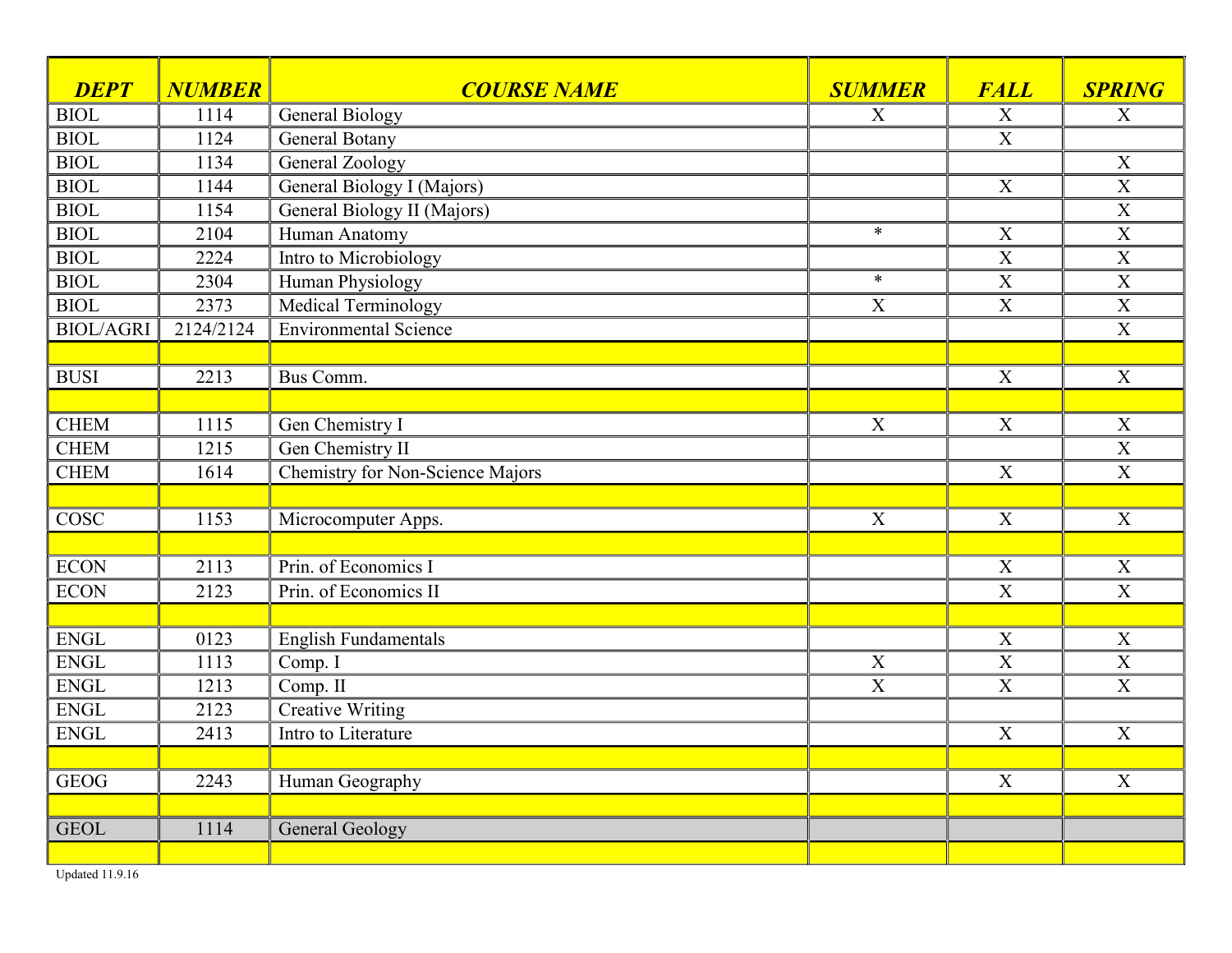| <b>DEPT</b>              | <b>NUMBER</b> | <b>COURSE NAME</b>                      | <b>SUMMER</b>    | <b>FALL</b>               | <b>SPRING</b>             |
|--------------------------|---------------|-----------------------------------------|------------------|---------------------------|---------------------------|
| <b>BIOL</b>              | 1114          | <b>General Biology</b>                  | X                | X                         | X                         |
| <b>BIOL</b>              | 1124          | <b>General Botany</b>                   |                  | $\overline{X}$            |                           |
| <b>BIOL</b>              | 1134          | <b>General Zoology</b>                  |                  |                           | $\boldsymbol{X}$          |
| <b>BIOL</b>              | 1144          | General Biology I (Majors)              |                  | $\mathbf X$               | $\overline{X}$            |
| <b>BIOL</b>              | 1154          | General Biology II (Majors)             |                  |                           | $\overline{X}$            |
| <b>BIOL</b>              | 2104          | Human Anatomy                           | $\ast$           | X                         | $\overline{\text{X}}$     |
| $\overline{BIOL}$        | 2224          | Intro to Microbiology                   |                  | $\overline{X}$            | $\overline{X}$            |
| <b>BIOL</b>              | 2304          | <b>Human Physiology</b>                 | $\ast$           | $\overline{X}$            | $\overline{\mathbf{X}}$   |
| <b>BIOL</b>              | 2373          | Medical Terminology                     | $\boldsymbol{X}$ | $\boldsymbol{\mathrm{X}}$ | $\mathbf X$               |
| <b>BIOL/AGRI</b>         | 2124/2124     | <b>Environmental Science</b>            |                  |                           | $\mathbf X$               |
|                          |               |                                         |                  |                           |                           |
| <b>BUSI</b>              | 2213          | Bus Comm.                               |                  | $\overline{X}$            | X                         |
|                          |               |                                         |                  |                           |                           |
| <b>CHEM</b>              | 1115          | Gen Chemistry I                         | $\mathbf X$      | $\mathbf X$               | $\boldsymbol{X}$          |
| <b>CHEM</b>              | 1215          | Gen Chemistry II                        |                  |                           | $\overline{X}$            |
| <b>CHEM</b>              | 1614          | <b>Chemistry for Non-Science Majors</b> |                  | $\mathbf X$               | X                         |
|                          |               |                                         |                  |                           |                           |
| $\overline{\text{COSC}}$ | 1153          | Microcomputer Apps.                     | $\overline{X}$   | $\overline{X}$            | $\overline{X}$            |
|                          |               |                                         |                  |                           |                           |
| <b>ECON</b>              | 2113          | Prin. of Economics I                    |                  | X                         | $\boldsymbol{\mathrm{X}}$ |
| <b>ECON</b>              | 2123          | Prin. of Economics II                   |                  | $\boldsymbol{X}$          | $\boldsymbol{X}$          |
|                          |               |                                         |                  |                           |                           |
| <b>ENGL</b>              | 0123          | <b>English Fundamentals</b>             |                  | X                         | $\boldsymbol{X}$          |
| ENGL                     | 1113          | Comp. I                                 | X                | $\overline{X}$            | $\overline{X}$            |
| ENGL                     | 1213          | Comp. II                                | $\overline{X}$   | $\overline{X}$            | $\mathbf X$               |
| <b>ENGL</b>              | 2123          | <b>Creative Writing</b>                 |                  |                           |                           |
| <b>ENGL</b>              | 2413          | Intro to Literature                     |                  | $\overline{X}$            | X                         |
|                          |               |                                         |                  |                           |                           |
| <b>GEOG</b>              | 2243          | Human Geography                         |                  | X                         | $\boldsymbol{X}$          |
|                          |               |                                         |                  |                           |                           |
| <b>GEOL</b>              | 1114          | <b>General Geology</b>                  |                  |                           |                           |
|                          |               |                                         |                  |                           |                           |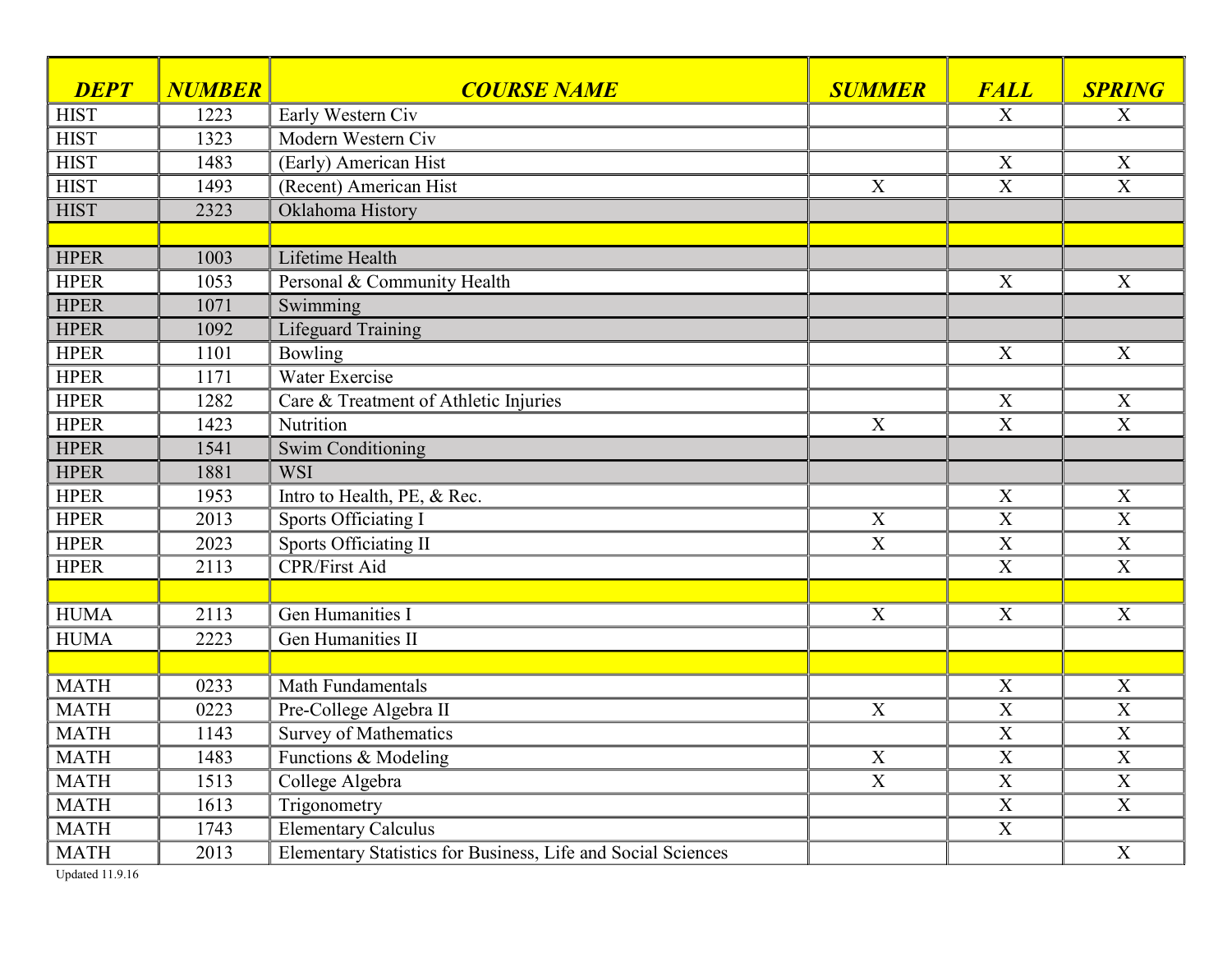| <b>DEPT</b> | <b>NUMBER</b> | <b>COURSE NAME</b>                                           | <b>SUMMER</b>             | <b>FALL</b>               | <b>SPRING</b>             |
|-------------|---------------|--------------------------------------------------------------|---------------------------|---------------------------|---------------------------|
| <b>HIST</b> | 1223          | Early Western Civ                                            |                           | X                         | X                         |
| <b>HIST</b> | 1323          | Modern Western Civ                                           |                           |                           |                           |
| <b>HIST</b> | 1483          | (Early) American Hist                                        |                           | X                         | X                         |
| <b>HIST</b> | 1493          | (Recent) American Hist                                       | X                         | $\mathbf X$               | $\overline{X}$            |
| <b>HIST</b> | 2323          | Oklahoma History                                             |                           |                           |                           |
|             |               |                                                              |                           |                           |                           |
| <b>HPER</b> | 1003          | <b>Lifetime Health</b>                                       |                           |                           |                           |
| <b>HPER</b> | 1053          | Personal & Community Health                                  |                           | X                         | X                         |
| <b>HPER</b> | 1071          | Swimming                                                     |                           |                           |                           |
| <b>HPER</b> | 1092          | <b>Lifeguard Training</b>                                    |                           |                           |                           |
| <b>HPER</b> | 1101          | Bowling                                                      |                           | $\boldsymbol{X}$          | X                         |
| <b>HPER</b> | 1171          | Water Exercise                                               |                           |                           |                           |
| <b>HPER</b> | 1282          | Care & Treatment of Athletic Injuries                        |                           | $\mathbf X$               | $\boldsymbol{X}$          |
| <b>HPER</b> | 1423          | Nutrition                                                    | $\overline{X}$            | $\mathbf X$               | $\mathbf X$               |
| <b>HPER</b> | 1541          | Swim Conditioning                                            |                           |                           |                           |
| <b>HPER</b> | 1881          | <b>WSI</b>                                                   |                           |                           |                           |
| <b>HPER</b> | 1953          | Intro to Health, PE, & Rec.                                  |                           | $\mathbf X$               | $\mathbf X$               |
| <b>HPER</b> | 2013          | Sports Officiating I                                         | $\boldsymbol{X}$          | $\overline{X}$            | $\overline{\mathbf{X}}$   |
| <b>HPER</b> | 2023          | <b>Sports Officiating II</b>                                 | $\overline{\text{X}}$     | $\overline{\text{X}}$     | $\overline{X}$            |
| <b>HPER</b> | 2113          | <b>CPR/First Aid</b>                                         |                           | $\overline{\mathrm{X}}$   | $\overline{\mathrm{X}}$   |
|             |               |                                                              |                           |                           |                           |
| <b>HUMA</b> | 2113          | Gen Humanities I                                             | X                         | $\mathbf X$               | X                         |
| <b>HUMA</b> | 2223          | <b>Gen Humanities II</b>                                     |                           |                           |                           |
|             |               |                                                              |                           |                           |                           |
| <b>MATH</b> | 0233          | Math Fundamentals                                            |                           | $\mathbf X$               | X                         |
| <b>MATH</b> | 0223          | Pre-College Algebra II                                       | X                         | $\mathbf X$               | $\mathbf X$               |
| <b>MATH</b> | 1143          | <b>Survey of Mathematics</b>                                 |                           | $\overline{X}$            | $\overline{\mathbf{X}}$   |
| <b>MATH</b> | 1483          | Functions & Modeling                                         | X                         | $\overline{X}$            | $\boldsymbol{\mathrm{X}}$ |
| <b>MATH</b> | 1513          | College Algebra                                              | $\boldsymbol{\mathrm{X}}$ | $\overline{X}$            | $\boldsymbol{\mathrm{X}}$ |
| <b>MATH</b> | 1613          | Trigonometry                                                 |                           | $\boldsymbol{\mathrm{X}}$ | X                         |
| <b>MATH</b> | 1743          | <b>Elementary Calculus</b>                                   |                           | $\boldsymbol{X}$          |                           |
| <b>MATH</b> | 2013          | Elementary Statistics for Business, Life and Social Sciences |                           |                           | X                         |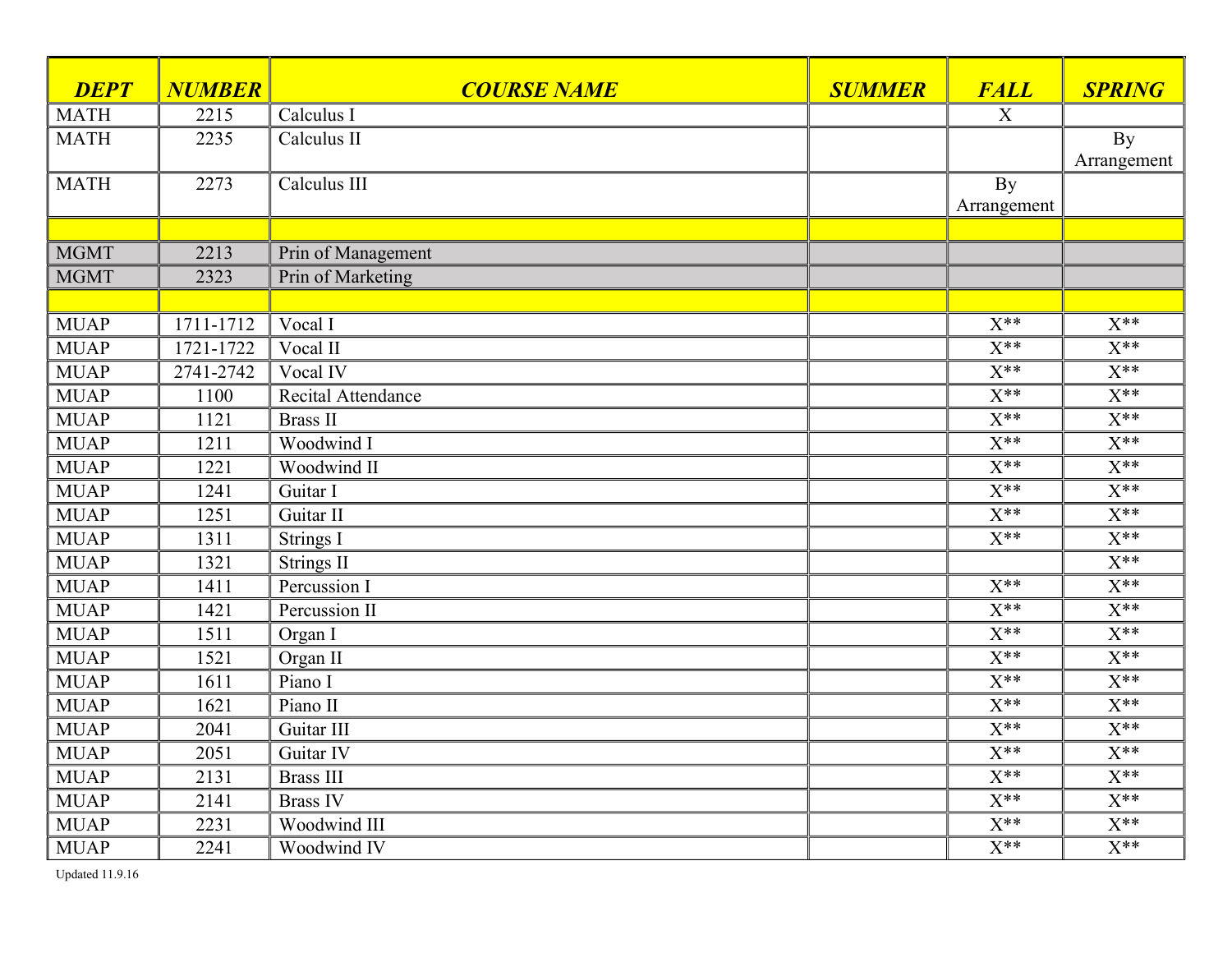| <b>DEPT</b> | <b>NUMBER</b> | <b>COURSE NAME</b> | <b>SUMMER</b> | <b>FALL</b>              | <b>SPRING</b>            |
|-------------|---------------|--------------------|---------------|--------------------------|--------------------------|
| <b>MATH</b> | 2215          | Calculus I         |               | X                        |                          |
| <b>MATH</b> | 2235          | Calculus II        |               |                          | <b>By</b><br>Arrangement |
| <b>MATH</b> | 2273          | Calculus III       |               | <b>By</b><br>Arrangement |                          |
|             |               |                    |               |                          |                          |
| <b>MGMT</b> | 2213          | Prin of Management |               |                          |                          |
| <b>MGMT</b> | 2323          | Prin of Marketing  |               |                          |                          |
|             |               |                    |               |                          |                          |
| <b>MUAP</b> | 1711-1712     | Vocal I            |               | $X^{**}$                 | $X^{**}$                 |
| <b>MUAP</b> | 1721-1722     | Vocal II           |               | $\overline{X^{**}}$      | $X^{**}$                 |
| <b>MUAP</b> | 2741-2742     | Vocal IV           |               | $\overline{X^{**}}$      | $\overline{X^{**}}$      |
| <b>MUAP</b> | 1100          | Recital Attendance |               | $\overline{X^{**}}$      | $\overline{X^{**}}$      |
| <b>MUAP</b> | 1121          | <b>Brass II</b>    |               | $\overline{X^{**}}$      | $\overline{X^{**}}$      |
| <b>MUAP</b> | 1211          | Woodwind I         |               | $X^{**}$                 | $X^{**}$                 |
| <b>MUAP</b> | 1221          | Woodwind II        |               | $\overline{X^{**}}$      | $\overline{X^{**}}$      |
| <b>MUAP</b> | 1241          | Guitar I           |               | $\overline{X^{**}}$      | $\overline{X^{**}}$      |
| <b>MUAP</b> | 1251          | Guitar II          |               | $X^{**}$                 | $\overline{X^{**}}$      |
| <b>MUAP</b> | 1311          | <b>Strings I</b>   |               | $X^{**}$                 | $X^{**}$                 |
| <b>MUAP</b> | 1321          | <b>Strings II</b>  |               |                          | $X^{**}$                 |
| <b>MUAP</b> | 1411          | Percussion I       |               | $X^{**}$                 | $\overline{X^{**}}$      |
| <b>MUAP</b> | 1421          | Percussion II      |               | $\overline{X^{**}}$      | $\overline{X^{**}}$      |
| <b>MUAP</b> | 1511          | Organ I            |               | $X^{**}$                 | $\overline{X^{**}}$      |
| <b>MUAP</b> | 1521          | Organ II           |               | $X^{**}$                 | $\overline{X^{**}}$      |
| <b>MUAP</b> | 1611          | Piano I            |               | $X^{**}$                 | $X^{\ast\ast}$           |
| <b>MUAP</b> | 1621          | Piano II           |               | $X^{**}$                 | $X^{**}$                 |
| <b>MUAP</b> | 2041          | Guitar III         |               | $X^{**}$                 | $\overline{X^{**}}$      |
| <b>MUAP</b> | 2051          | Guitar IV          |               | $X^{**}$                 | $X^{**}$                 |
| <b>MUAP</b> | 2131          | <b>Brass III</b>   |               | $X^{**}$                 | $X^{**}$                 |
| <b>MUAP</b> | 2141          | <b>Brass IV</b>    |               | $X^{**}$                 | $X^{**}$                 |
| <b>MUAP</b> | 2231          | Woodwind III       |               | $X^{**}$                 | $X^{**}$                 |
| <b>MUAP</b> | 2241          | Woodwind IV        |               | $X^{**}$                 | $X^{\ast\ast}$           |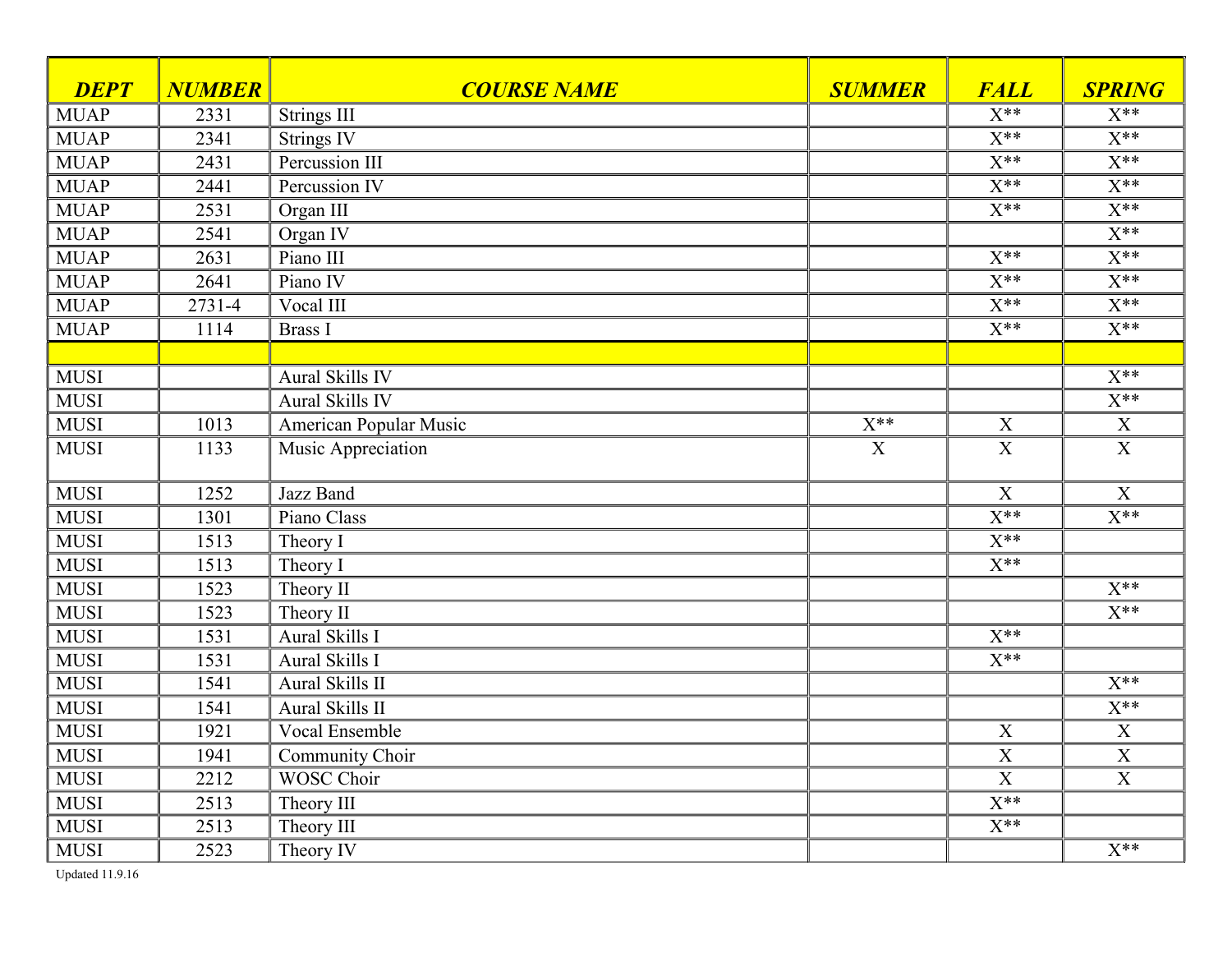| <b>DEPT</b> | <b>NUMBER</b> | <b>COURSE NAME</b>            | <b>SUMMER</b> | <b>FALL</b>               | <b>SPRING</b>       |
|-------------|---------------|-------------------------------|---------------|---------------------------|---------------------|
| <b>MUAP</b> | 2331          | <b>Strings III</b>            |               | $X^{**}$                  | $X^{**}$            |
| <b>MUAP</b> | 2341          | <b>Strings IV</b>             |               | $\overline{X^{**}}$       | $\overline{X^{**}}$ |
| <b>MUAP</b> | 2431          | Percussion III                |               | $\overline{X^{**}}$       | $\overline{X^{**}}$ |
| <b>MUAP</b> | 2441          | Percussion IV                 |               | $X^{**}$                  | $X^{**}$            |
| <b>MUAP</b> | 2531          | Organ III                     |               | $X^{**}$                  | $\overline{X^{**}}$ |
| <b>MUAP</b> | 2541          | Organ IV                      |               |                           | $X^{**}$            |
| <b>MUAP</b> | 2631          | Piano III                     |               | $\overline{X^{**}}$       | $\overline{X^{**}}$ |
| <b>MUAP</b> | 2641          | Piano IV                      |               | $\overline{X^{**}}$       | $X^{**}$            |
| <b>MUAP</b> | 2731-4        | Vocal III                     |               | $\overline{X^{**}}$       | $\overline{X^{**}}$ |
| <b>MUAP</b> | 1114          | <b>Brass I</b>                |               | $\overline{X^{**}}$       | $X^{**}$            |
|             |               |                               |               |                           |                     |
| <b>MUSI</b> |               | Aural Skills IV               |               |                           | $\overline{X^{**}}$ |
| <b>MUSI</b> |               | Aural Skills IV               |               |                           | $\overline{X^{**}}$ |
| <b>MUSI</b> | 1013          | <b>American Popular Music</b> | $X^{**}$      | $\boldsymbol{\mathrm{X}}$ | $\mathbf X$         |
| <b>MUSI</b> | 1133          | Music Appreciation            | X             | X                         | $\overline{X}$      |
| <b>MUSI</b> | 1252          | Jazz Band                     |               | $\mathbf X$               | $\boldsymbol{X}$    |
| <b>MUSI</b> | 1301          | Piano Class                   |               | $\overline{X^{**}}$       | $\overline{X^{**}}$ |
| <b>MUSI</b> | 1513          | Theory I                      |               | $\overline{X^{**}}$       |                     |
| <b>MUSI</b> | 1513          | Theory I                      |               | $\overline{X^{**}}$       |                     |
| <b>MUSI</b> | 1523          | Theory II                     |               |                           | $\overline{X^{**}}$ |
| <b>MUSI</b> | 1523          | Theory II                     |               |                           | $X^{**}$            |
| <b>MUSI</b> | 1531          | Aural Skills I                |               | $\overline{X^{**}}$       |                     |
| <b>MUSI</b> | 1531          | Aural Skills I                |               | $\overline{X^{**}}$       |                     |
| <b>MUSI</b> | 1541          | Aural Skills II               |               |                           | $X^{**}$            |
| <b>MUSI</b> | 1541          | Aural Skills II               |               |                           | $X^{**}$            |
| <b>MUSI</b> | 1921          | Vocal Ensemble                |               | $\mathbf X$               | $\mathbf X$         |
| <b>MUSI</b> | 1941          | Community Choir               |               | $\overline{X}$            | $\overline{X}$      |
| <b>MUSI</b> | 2212          | <b>WOSC Choir</b>             |               | $\overline{X}$            | X                   |
| <b>MUSI</b> | 2513          | Theory III                    |               | $\overline{X^{**}}$       |                     |
| <b>MUSI</b> | 2513          | Theory III                    |               | $\overline{X^{**}}$       |                     |
| <b>MUSI</b> | 2523          | Theory IV                     |               |                           | $X^{**}$            |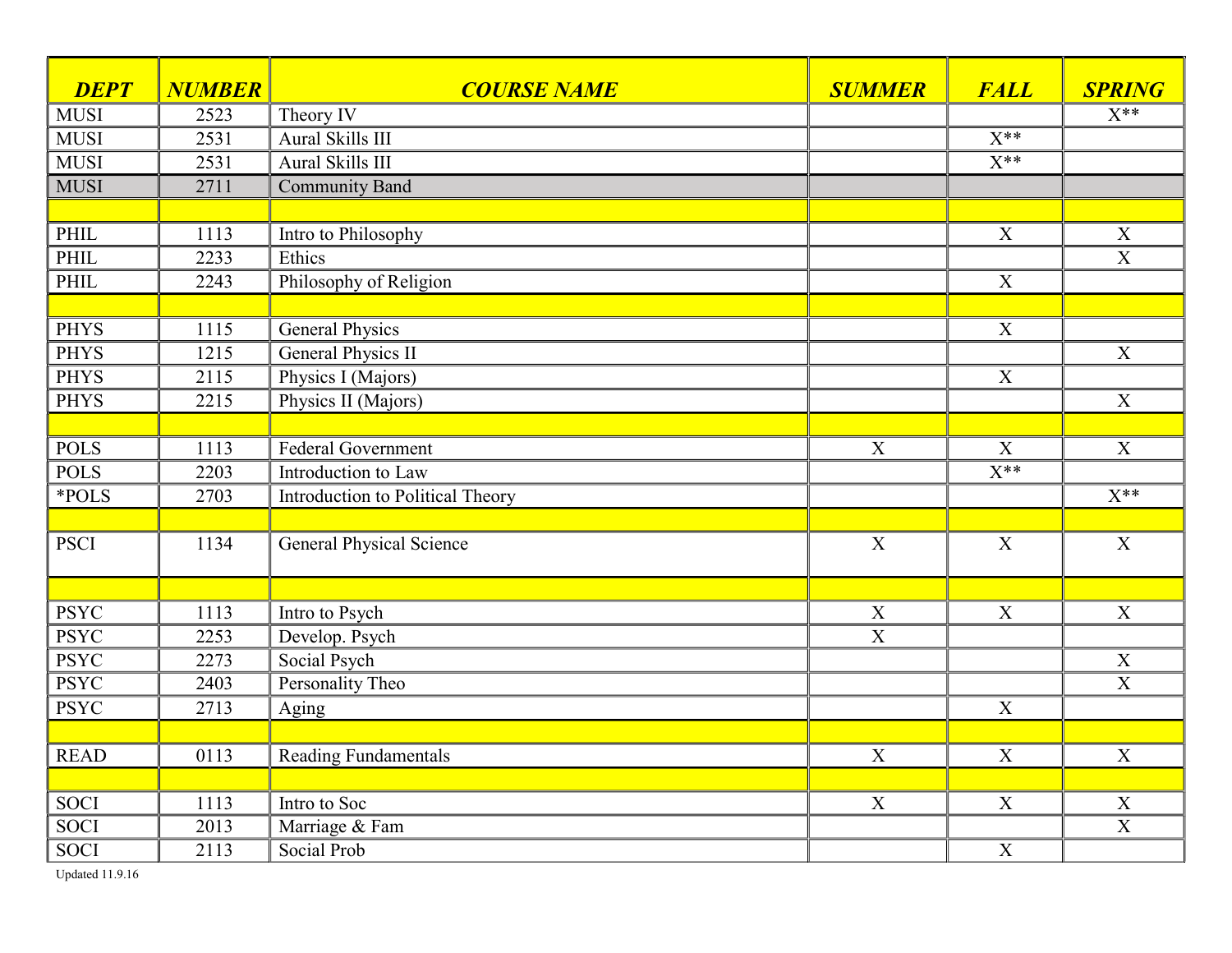| <b>DEPT</b> | <b>NUMBER</b>     | <b>COURSE NAME</b>               | <b>SUMMER</b>  | <b>FALL</b>         | <b>SPRING</b>           |
|-------------|-------------------|----------------------------------|----------------|---------------------|-------------------------|
| <b>MUSI</b> | 2523              | Theory IV                        |                |                     | $X^{**}$                |
| <b>MUSI</b> | 2531              | Aural Skills III                 |                | $\overline{X^{**}}$ |                         |
| <b>MUSI</b> | $\overline{2531}$ | Aural Skills III                 |                | $\overline{X^{**}}$ |                         |
| <b>MUSI</b> | 2711              | <b>Community Band</b>            |                |                     |                         |
|             |                   |                                  |                |                     |                         |
| PHIL        | 1113              | Intro to Philosophy              |                | $\mathbf X$         | X                       |
| PHIL        | 2233              | Ethics                           |                |                     | $\overline{X}$          |
| PHIL        | 2243              | Philosophy of Religion           |                | $\overline{X}$      |                         |
|             |                   |                                  |                |                     |                         |
| <b>PHYS</b> | 1115              | <b>General Physics</b>           |                | $\mathbf X$         |                         |
| <b>PHYS</b> | 1215              | <b>General Physics II</b>        |                |                     | X                       |
| <b>PHYS</b> | 2115              | Physics I (Majors)               |                | $\mathbf X$         |                         |
| <b>PHYS</b> | 2215              | Physics II (Majors)              |                |                     | $\mathbf X$             |
|             |                   |                                  |                |                     |                         |
| <b>POLS</b> | 1113              | Federal Government               | $\mathbf X$    | X                   | X                       |
| <b>POLS</b> | 2203              | Introduction to Law              |                | $\overline{X^{**}}$ |                         |
| *POLS       | 2703              | Introduction to Political Theory |                |                     | $\overline{X^{**}}$     |
|             |                   |                                  |                |                     |                         |
| <b>PSCI</b> | 1134              | <b>General Physical Science</b>  | $\mathbf X$    | X                   | $\mathbf X$             |
|             |                   |                                  |                |                     |                         |
| <b>PSYC</b> | 1113              | Intro to Psych                   | X              | $\overline{X}$      | $\boldsymbol{X}$        |
| <b>PSYC</b> | 2253              | Develop. Psych                   | $\overline{X}$ |                     |                         |
| <b>PSYC</b> | 2273              | Social Psych                     |                |                     | $\mathbf X$             |
| <b>PSYC</b> | 2403              | Personality Theo                 |                |                     | $\overline{X}$          |
| <b>PSYC</b> | 2713              | Aging                            |                | $\mathbf X$         |                         |
|             |                   |                                  |                |                     |                         |
| <b>READ</b> | 0113              | <b>Reading Fundamentals</b>      | $\overline{X}$ | $\overline{X}$      | X                       |
|             |                   |                                  |                |                     |                         |
| <b>SOCI</b> | 1113              | Intro to Soc                     | X              | $\mathbf X$         | $\mathbf X$             |
| <b>SOCI</b> | 2013              | Marriage & Fam                   |                |                     | $\overline{\mathbf{X}}$ |
| <b>SOCI</b> | 2113              | Social Prob                      |                | $\overline{X}$      |                         |